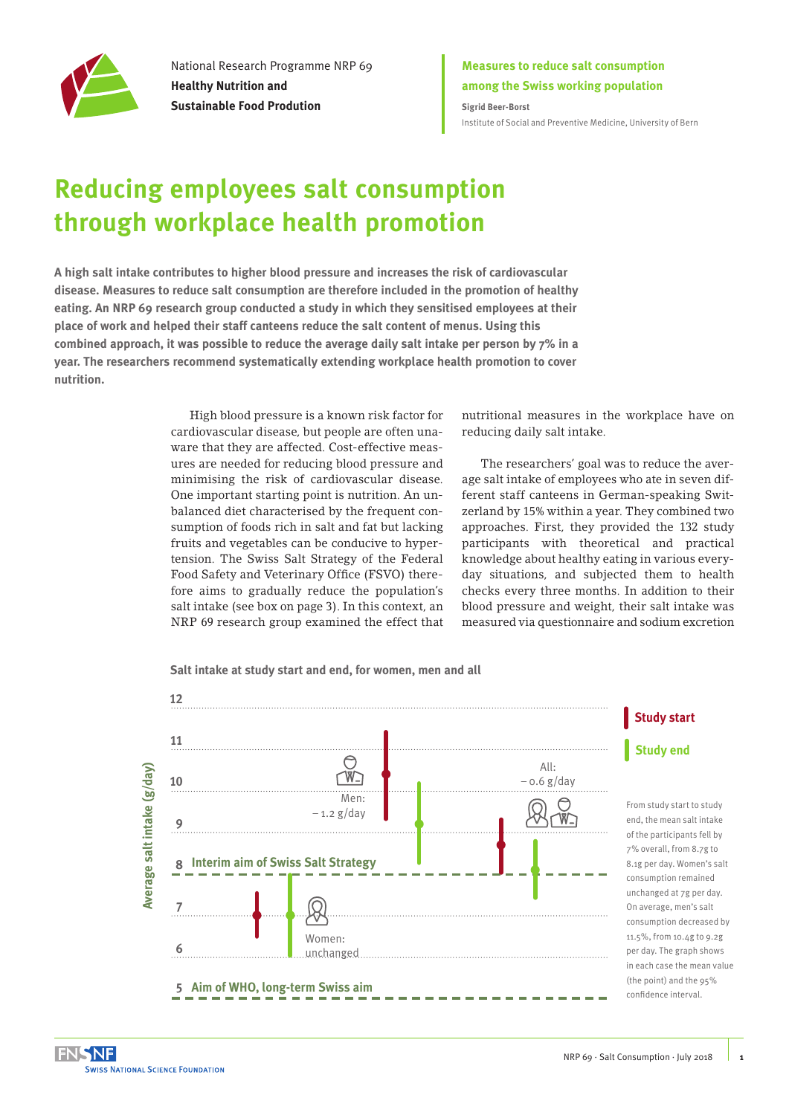

National Research Programme NRP 69 **Healthy Nutrition and Sustainable Food Prodution**

**Measures to reduce salt consumption among the Swiss working population**

**Sigrid Beer-Borst** [Institute of Social and Preventive Medicine, University of Bern](http://www.ispm.unibe.ch/index_eng.html)

# **Reducing employees salt consumption through workplace health promotion**

**A high salt intake contributes to higher blood pressure and increases the risk of cardiovascular disease. Measures to reduce salt consumption are therefore included in the promotion of healthy eating. An NRP 69 research group conducted a study in which they sensitised employees at their place of work and helped their staff canteens reduce the salt content of menus. Using this combined approach, it was possible to reduce the average daily salt intake per person by 7% in a year. The researchers recommend systematically extending workplace health promotion to cover nutrition.** 

> High blood pressure is a known risk factor for cardiovascular disease, but people are often unaware that they are affected. Cost-effective measures are needed for reducing blood pressure and minimising the risk of cardiovascular disease. One important starting point is nutrition. An unbalanced diet characterised by the frequent consumption of foods rich in salt and fat but lacking fruits and vegetables can be conducive to hypertension. The Swiss Salt Strategy of the Federal Food Safety and Veterinary Office (FSVO) therefore aims to gradually reduce the population's salt intake (see box on page 3). In this context, an NRP 69 research group examined the effect that

nutritional measures in the workplace have on reducing daily salt intake.

The researchers' goal was to reduce the average salt intake of employees who ate in seven different staff canteens in German-speaking Switzerland by 15% within a year. They combined two approaches. First, they provided the 132 study participants with theoretical and practical knowledge about healthy eating in various everyday situations, and subjected them to health checks every three months. In addition to their blood pressure and weight, their salt intake was measured via questionnaire and sodium excretion



**Salt intake at study start and end, for women, men and all**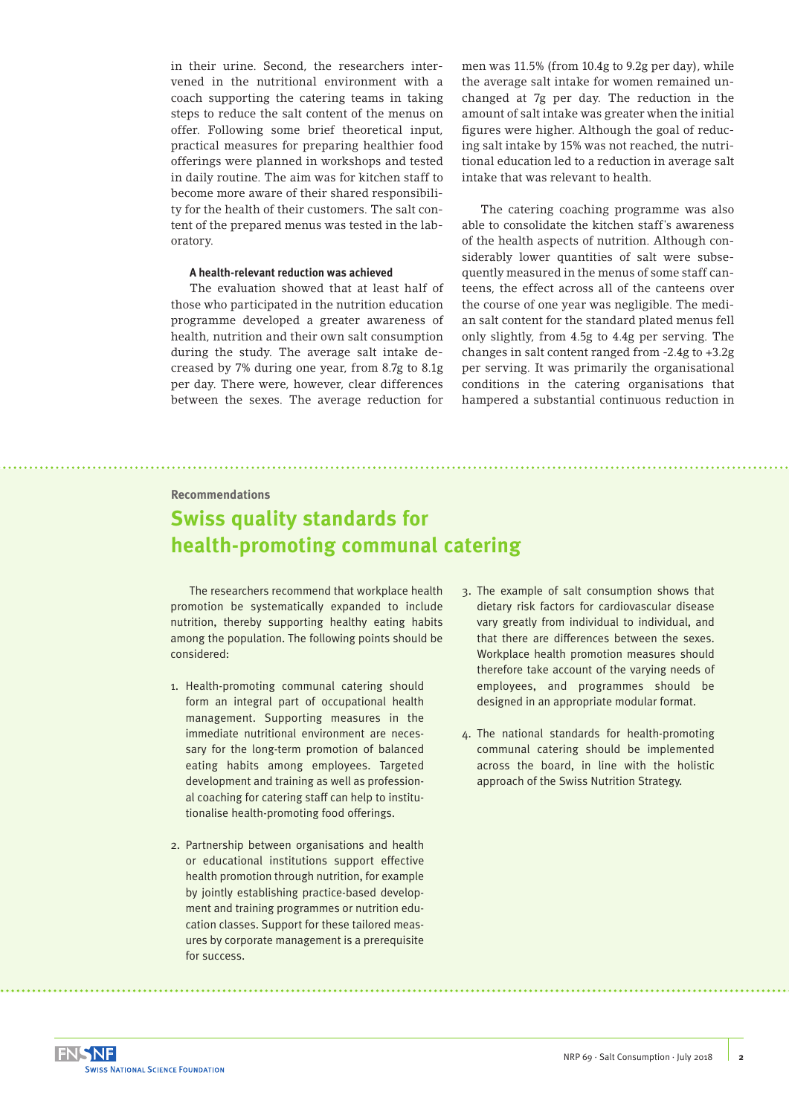in their urine. Second, the researchers intervened in the nutritional environment with a coach supporting the catering teams in taking steps to reduce the salt content of the menus on offer. Following some brief theoretical input, practical measures for preparing healthier food offerings were planned in workshops and tested in daily routine. The aim was for kitchen staff to become more aware of their shared responsibility for the health of their customers. The salt content of the prepared menus was tested in the laboratory.

### **A health-relevant reduction was achieved**

The evaluation showed that at least half of those who participated in the nutrition education programme developed a greater awareness of health, nutrition and their own salt consumption during the study. The average salt intake decreased by 7% during one year, from 8.7g to 8.1g per day. There were, however, clear differences between the sexes. The average reduction for

men was 11.5% (from 10.4g to 9.2g per day), while the average salt intake for women remained unchanged at 7g per day. The reduction in the amount of salt intake was greater when the initial figures were higher. Although the goal of reducing salt intake by 15% was not reached, the nutritional education led to a reduction in average salt intake that was relevant to health.

The catering coaching programme was also able to consolidate the kitchen staff's awareness of the health aspects of nutrition. Although considerably lower quantities of salt were subsequently measured in the menus of some staff canteens, the effect across all of the canteens over the course of one year was negligible. The median salt content for the standard plated menus fell only slightly, from 4.5g to 4.4g per serving. The changes in salt content ranged from -2.4g to +3.2g per serving. It was primarily the organisational conditions in the catering organisations that hampered a substantial continuous reduction in

#### **Recommendations**

# **Swiss quality standards for health-promoting communal catering**

The researchers recommend that workplace health promotion be systematically expanded to include nutrition, thereby supporting healthy eating habits among the population. The following points should be considered:

- 1. Health-promoting communal catering should form an integral part of occupational health management. Supporting measures in the immediate nutritional environment are necessary for the long-term promotion of balanced eating habits among employees. Targeted development and training as well as professional coaching for catering staff can help to institutionalise health-promoting food offerings.
- 2. Partnership between organisations and health or educational institutions support effective health promotion through nutrition, for example by jointly establishing practice-based development and training programmes or nutrition education classes. Support for these tailored measures by corporate management is a prerequisite for success.
- 3. The example of salt consumption shows that dietary risk factors for cardiovascular disease vary greatly from individual to individual, and that there are differences between the sexes. Workplace health promotion measures should therefore take account of the varying needs of employees, and programmes should be designed in an appropriate modular format.
- 4. The national standards for health-promoting communal catering should be implemented across the board, in line with the holistic approach of the Swiss Nutrition Strategy.